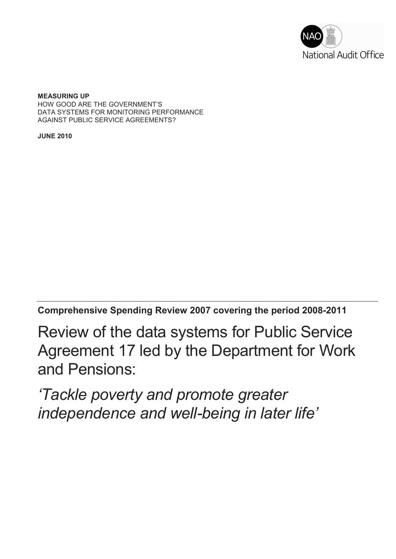

**MEASURING UP**  HOW GOOD ARE THE GOVERNMENT'S DATA SYSTEMS FOR MONITORING PERFORMANCE AGAINST PUBLIC SERVICE AGREEMENTS?

**JUNE 2010**

**Comprehensive Spending Review 2007 covering the period 2008-2011**

Review of the data systems for Public Service Agreement 17 led by the Department for Work and Pensions:

*'Tackle poverty and promote greater independence and well-being in later life'*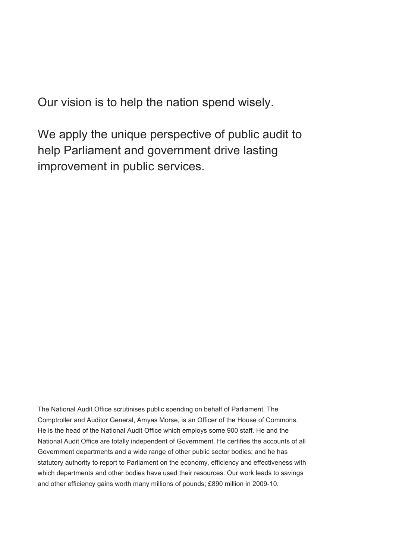Our vision is to help the nation spend wisely.

We apply the unique perspective of public audit to help Parliament and government drive lasting improvement in public services.

The National Audit Office scrutinises public spending on behalf of Parliament. The Comptroller and Auditor General, Amyas Morse, is an Officer of the House of Commons. He is the head of the National Audit Office which employs some 900 staff. He and the National Audit Office are totally independent of Government. He certifies the accounts of all Government departments and a wide range of other public sector bodies; and he has statutory authority to report to Parliament on the economy, efficiency and effectiveness with which departments and other bodies have used their resources. Our work leads to savings and other efficiency gains worth many millions of pounds; £890 million in 2009-10.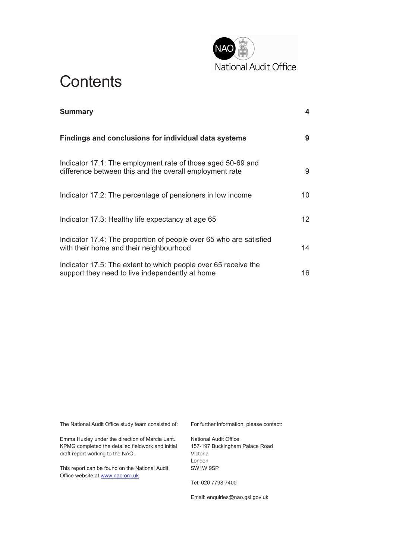

# **Contents**

| <b>Summary</b>                                                                                                         | 4  |
|------------------------------------------------------------------------------------------------------------------------|----|
| Findings and conclusions for individual data systems                                                                   | 9  |
| Indicator 17.1: The employment rate of those aged 50-69 and<br>difference between this and the overall employment rate | 9  |
| Indicator 17.2: The percentage of pensioners in low income                                                             | 10 |
| Indicator 17.3: Healthy life expectancy at age 65                                                                      | 12 |
| Indicator 17.4: The proportion of people over 65 who are satisfied<br>with their home and their neighbourhood          | 14 |
| Indicator 17.5: The extent to which people over 65 receive the<br>support they need to live independently at home      | 16 |

The National Audit Office study team consisted of:

Emma Huxley under the direction of Marcia Lant. KPMG completed the detailed fieldwork and initial draft report working to the NAO.

This report can be found on the National Audit Office website at www.nao.org.uk

For further information, please contact:

National Audit Office 157-197 Buckingham Palace Road Victoria London SW1W 9SP

Tel: 020 7798 7400

Email: enquiries@nao.gsi.gov.uk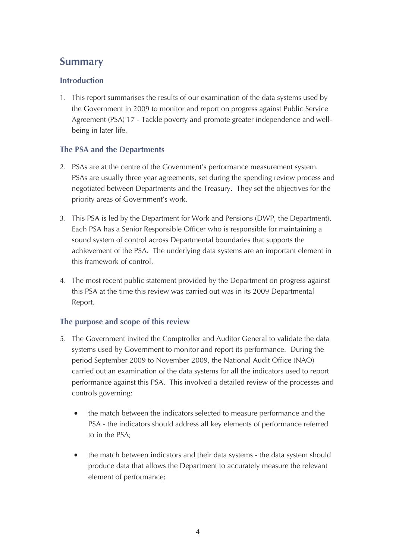# **Summary**

## **Introduction**

1. This report summarises the results of our examination of the data systems used by the Government in 2009 to monitor and report on progress against Public Service Agreement (PSA) 17 - Tackle poverty and promote greater independence and wellbeing in later life.

## **The PSA and the Departments**

- 2. PSAs are at the centre of the Government's performance measurement system. PSAs are usually three year agreements, set during the spending review process and negotiated between Departments and the Treasury. They set the objectives for the priority areas of Government's work.
- 3. This PSA is led by the Department for Work and Pensions (DWP, the Department). Each PSA has a Senior Responsible Officer who is responsible for maintaining a sound system of control across Departmental boundaries that supports the achievement of the PSA. The underlying data systems are an important element in this framework of control.
- 4. The most recent public statement provided by the Department on progress against this PSA at the time this review was carried out was in its 2009 Departmental Report.

# **The purpose and scope of this review**

- 5. The Government invited the Comptroller and Auditor General to validate the data systems used by Government to monitor and report its performance. During the period September 2009 to November 2009, the National Audit Office (NAO) carried out an examination of the data systems for all the indicators used to report performance against this PSA. This involved a detailed review of the processes and controls governing:
	- the match between the indicators selected to measure performance and the PSA - the indicators should address all key elements of performance referred to in the PSA;
	- the match between indicators and their data systems the data system should produce data that allows the Department to accurately measure the relevant element of performance;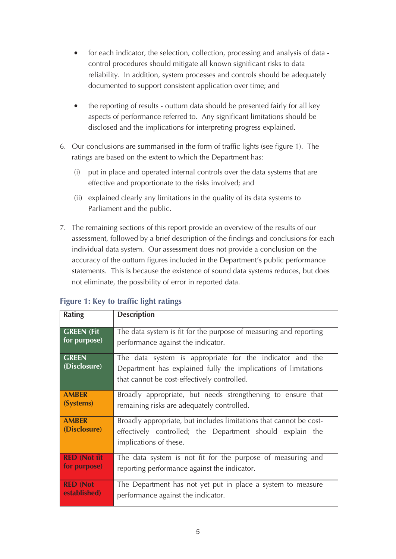- · for each indicator, the selection, collection, processing and analysis of data control procedures should mitigate all known significant risks to data reliability. In addition, system processes and controls should be adequately documented to support consistent application over time; and
- the reporting of results outturn data should be presented fairly for all key aspects of performance referred to. Any significant limitations should be disclosed and the implications for interpreting progress explained.
- 6. Our conclusions are summarised in the form of traffic lights (see figure 1). The ratings are based on the extent to which the Department has:
	- (i) put in place and operated internal controls over the data systems that are effective and proportionate to the risks involved; and
	- (ii) explained clearly any limitations in the quality of its data systems to Parliament and the public.
- 7. The remaining sections of this report provide an overview of the results of our assessment, followed by a brief description of the findings and conclusions for each individual data system. Our assessment does not provide a conclusion on the accuracy of the outturn figures included in the Department's public performance statements. This is because the existence of sound data systems reduces, but does not eliminate, the possibility of error in reported data.

| <b>Rating</b>                | <b>Description</b>                                                                                                                                                        |  |  |
|------------------------------|---------------------------------------------------------------------------------------------------------------------------------------------------------------------------|--|--|
| <b>GREEN (Fit</b>            | The data system is fit for the purpose of measuring and reporting                                                                                                         |  |  |
| for purpose)                 | performance against the indicator.                                                                                                                                        |  |  |
| <b>GREEN</b><br>(Disclosure) | The data system is appropriate for the indicator and the<br>Department has explained fully the implications of limitations<br>that cannot be cost-effectively controlled. |  |  |
| <b>AMBER</b>                 | Broadly appropriate, but needs strengthening to ensure that                                                                                                               |  |  |
| (Systems)                    | remaining risks are adequately controlled.                                                                                                                                |  |  |
| <b>AMBER</b><br>(Disclosure) | Broadly appropriate, but includes limitations that cannot be cost-<br>effectively controlled; the Department should explain the<br>implications of these.                 |  |  |
| <b>RED (Not fit)</b>         | The data system is not fit for the purpose of measuring and                                                                                                               |  |  |
| for purpose)                 | reporting performance against the indicator.                                                                                                                              |  |  |
| <b>RED (Not</b>              | The Department has not yet put in place a system to measure                                                                                                               |  |  |
| established)                 | performance against the indicator.                                                                                                                                        |  |  |

# **Figure 1: Key to traffic light ratings**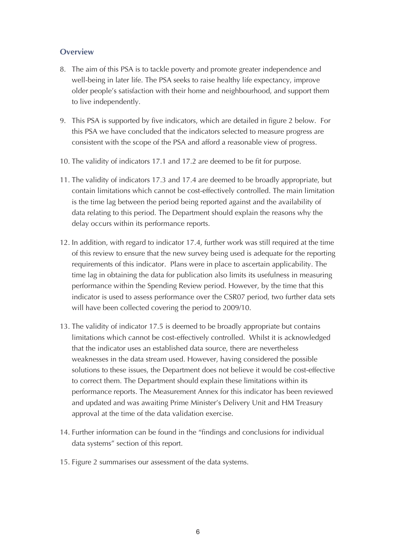### **Overview**

- 8. The aim of this PSA is to tackle poverty and promote greater independence and well-being in later life. The PSA seeks to raise healthy life expectancy, improve older people's satisfaction with their home and neighbourhood, and support them to live independently.
- 9. This PSA is supported by five indicators, which are detailed in figure 2 below. For this PSA we have concluded that the indicators selected to measure progress are consistent with the scope of the PSA and afford a reasonable view of progress.
- 10. The validity of indicators 17.1 and 17.2 are deemed to be fit for purpose.
- 11. The validity of indicators 17.3 and 17.4 are deemed to be broadly appropriate, but contain limitations which cannot be cost-effectively controlled. The main limitation is the time lag between the period being reported against and the availability of data relating to this period. The Department should explain the reasons why the delay occurs within its performance reports.
- 12. In addition, with regard to indicator 17.4, further work was still required at the time of this review to ensure that the new survey being used is adequate for the reporting requirements of this indicator. Plans were in place to ascertain applicability. The time lag in obtaining the data for publication also limits its usefulness in measuring performance within the Spending Review period. However, by the time that this indicator is used to assess performance over the CSR07 period, two further data sets will have been collected covering the period to 2009/10.
- 13. The validity of indicator 17.5 is deemed to be broadly appropriate but contains limitations which cannot be cost-effectively controlled. Whilst it is acknowledged that the indicator uses an established data source, there are nevertheless weaknesses in the data stream used. However, having considered the possible solutions to these issues, the Department does not believe it would be cost-effective to correct them. The Department should explain these limitations within its performance reports. The Measurement Annex for this indicator has been reviewed and updated and was awaiting Prime Minister's Delivery Unit and HM Treasury approval at the time of the data validation exercise.
- 14. Further information can be found in the "findings and conclusions for individual data systems" section of this report.
- 15. Figure 2 summarises our assessment of the data systems.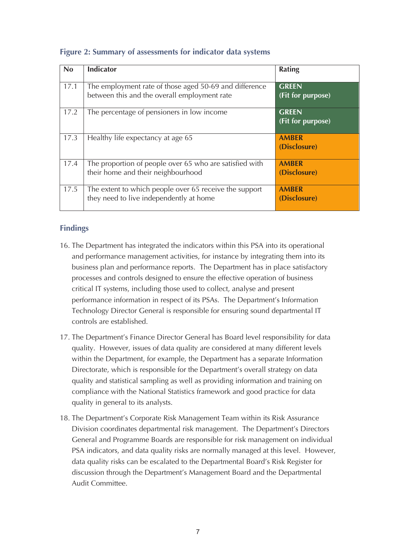| <b>No</b> | <b>Indicator</b>                                                                                       | <b>Rating</b>                     |
|-----------|--------------------------------------------------------------------------------------------------------|-----------------------------------|
| 17.1      | The employment rate of those aged 50-69 and difference<br>between this and the overall employment rate | <b>GREEN</b><br>(Fit for purpose) |
| 17.2      | The percentage of pensioners in low income                                                             | <b>GREEN</b><br>(Fit for purpose) |
| 17.3      | Healthy life expectancy at age 65                                                                      | <b>AMBER</b><br>(Disclosure)      |
| 17.4      | The proportion of people over 65 who are satisfied with<br>their home and their neighbourhood          | <b>AMBER</b><br>(Disclosure)      |
| 17.5      | The extent to which people over 65 receive the support<br>they need to live independently at home      | <b>AMBER</b><br>(Disclosure)      |

### **Figure 2: Summary of assessments for indicator data systems**

- 16. The Department has integrated the indicators within this PSA into its operational and performance management activities, for instance by integrating them into its business plan and performance reports. The Department has in place satisfactory processes and controls designed to ensure the effective operation of business critical IT systems, including those used to collect, analyse and present performance information in respect of its PSAs. The Department's Information Technology Director General is responsible for ensuring sound departmental IT controls are established.
- 17. The Department's Finance Director General has Board level responsibility for data quality. However, issues of data quality are considered at many different levels within the Department, for example, the Department has a separate Information Directorate, which is responsible for the Department's overall strategy on data quality and statistical sampling as well as providing information and training on compliance with the National Statistics framework and good practice for data quality in general to its analysts.
- 18. The Department's Corporate Risk Management Team within its Risk Assurance Division coordinates departmental risk management. The Department's Directors General and Programme Boards are responsible for risk management on individual PSA indicators, and data quality risks are normally managed at this level. However, data quality risks can be escalated to the Departmental Board's Risk Register for discussion through the Department's Management Board and the Departmental Audit Committee.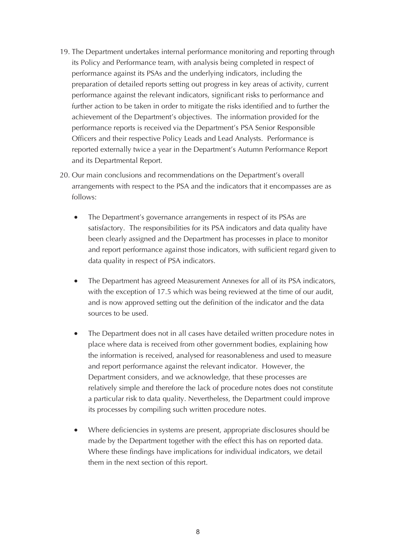- 19. The Department undertakes internal performance monitoring and reporting through its Policy and Performance team, with analysis being completed in respect of performance against its PSAs and the underlying indicators, including the preparation of detailed reports setting out progress in key areas of activity, current performance against the relevant indicators, significant risks to performance and further action to be taken in order to mitigate the risks identified and to further the achievement of the Department's objectives. The information provided for the performance reports is received via the Department's PSA Senior Responsible Officers and their respective Policy Leads and Lead Analysts. Performance is reported externally twice a year in the Department's Autumn Performance Report and its Departmental Report.
- 20. Our main conclusions and recommendations on the Department's overall arrangements with respect to the PSA and the indicators that it encompasses are as follows:
	- The Department's governance arrangements in respect of its PSAs are satisfactory. The responsibilities for its PSA indicators and data quality have been clearly assigned and the Department has processes in place to monitor and report performance against those indicators, with sufficient regard given to data quality in respect of PSA indicators.
	- The Department has agreed Measurement Annexes for all of its PSA indicators, with the exception of 17.5 which was being reviewed at the time of our audit, and is now approved setting out the definition of the indicator and the data sources to be used.
	- The Department does not in all cases have detailed written procedure notes in place where data is received from other government bodies, explaining how the information is received, analysed for reasonableness and used to measure and report performance against the relevant indicator. However, the Department considers, and we acknowledge, that these processes are relatively simple and therefore the lack of procedure notes does not constitute a particular risk to data quality. Nevertheless, the Department could improve its processes by compiling such written procedure notes.
	- · Where deficiencies in systems are present, appropriate disclosures should be made by the Department together with the effect this has on reported data. Where these findings have implications for individual indicators, we detail them in the next section of this report.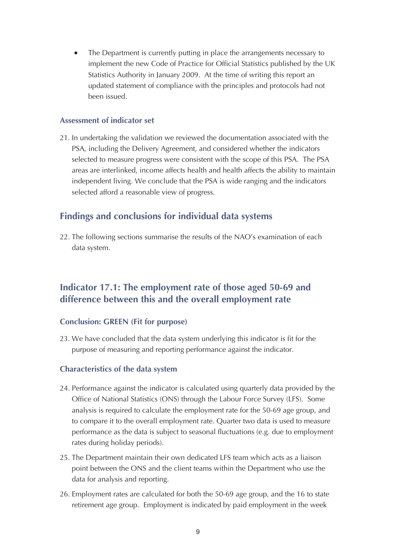The Department is currently putting in place the arrangements necessary to implement the new Code of Practice for Official Statistics published by the UK Statistics Authority in January 2009. At the time of writing this report an updated statement of compliance with the principles and protocols had not been issued.

#### **Assessment of indicator set**

21. In undertaking the validation we reviewed the documentation associated with the PSA, including the Delivery Agreement, and considered whether the indicators selected to measure progress were consistent with the scope of this PSA. The PSA areas are interlinked, income affects health and health affects the ability to maintain independent living. We conclude that the PSA is wide ranging and the indicators selected afford a reasonable view of progress.

# **Findings and conclusions for individual data systems**

22. The following sections summarise the results of the NAO's examination of each data system.

# **Indicator 17.1: The employment rate of those aged 50-69 and difference between this and the overall employment rate**

#### **Conclusion: GREEN (Fit for purpose)**

23. We have concluded that the data system underlying this indicator is fit for the purpose of measuring and reporting performance against the indicator.

#### **Characteristics of the data system**

- 24. Performance against the indicator is calculated using quarterly data provided by the Office of National Statistics (ONS) through the Labour Force Survey (LFS). Some analysis is required to calculate the employment rate for the 50-69 age group, and to compare it to the overall employment rate. Quarter two data is used to measure performance as the data is subject to seasonal fluctuations (e.g. due to employment rates during holiday periods).
- 25. The Department maintain their own dedicated LFS team which acts as a liaison point between the ONS and the client teams within the Department who use the data for analysis and reporting.
- 26. Employment rates are calculated for both the 50-69 age group, and the 16 to state retirement age group. Employment is indicated by paid employment in the week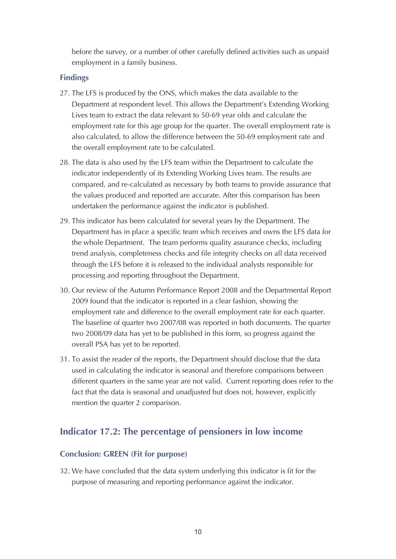before the survey, or a number of other carefully defined activities such as unpaid employment in a family business.

#### **Findings**

- 27. The LFS is produced by the ONS, which makes the data available to the Department at respondent level. This allows the Department's Extending Working Lives team to extract the data relevant to 50-69 year olds and calculate the employment rate for this age group for the quarter. The overall employment rate is also calculated, to allow the difference between the 50-69 employment rate and the overall employment rate to be calculated.
- 28. The data is also used by the LFS team within the Department to calculate the indicator independently of its Extending Working Lives team. The results are compared, and re-calculated as necessary by both teams to provide assurance that the values produced and reported are accurate. After this comparison has been undertaken the performance against the indicator is published.
- 29. This indicator has been calculated for several years by the Department. The Department has in place a specific team which receives and owns the LFS data for the whole Department. The team performs quality assurance checks, including trend analysis, completeness checks and file integrity checks on all data received through the LFS before it is released to the individual analysts responsible for processing and reporting throughout the Department.
- 30. Our review of the Autumn Performance Report 2008 and the Departmental Report 2009 found that the indicator is reported in a clear fashion, showing the employment rate and difference to the overall employment rate for each quarter. The baseline of quarter two 2007/08 was reported in both documents. The quarter two 2008/09 data has yet to be published in this form, so progress against the overall PSA has yet to be reported.
- 31. To assist the reader of the reports, the Department should disclose that the data used in calculating the indicator is seasonal and therefore comparisons between different quarters in the same year are not valid. Current reporting does refer to the fact that the data is seasonal and unadjusted but does not, however, explicitly mention the quarter 2 comparison.

# **Indicator 17.2: The percentage of pensioners in low income**

#### **Conclusion: GREEN (Fit for purpose)**

32. We have concluded that the data system underlying this indicator is fit for the purpose of measuring and reporting performance against the indicator.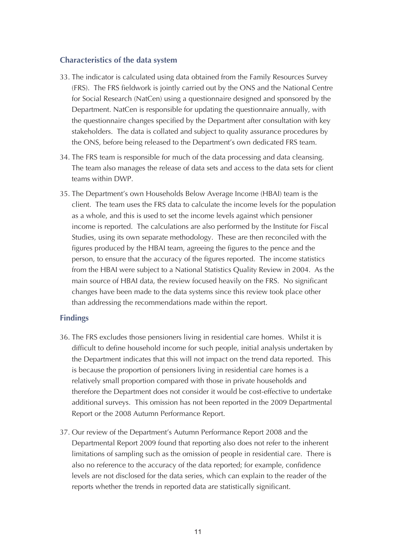#### **Characteristics of the data system**

- 33. The indicator is calculated using data obtained from the Family Resources Survey (FRS). The FRS fieldwork is jointly carried out by the ONS and the National Centre for Social Research (NatCen) using a questionnaire designed and sponsored by the Department. NatCen is responsible for updating the questionnaire annually, with the questionnaire changes specified by the Department after consultation with key stakeholders. The data is collated and subject to quality assurance procedures by the ONS, before being released to the Department's own dedicated FRS team.
- 34. The FRS team is responsible for much of the data processing and data cleansing. The team also manages the release of data sets and access to the data sets for client teams within DWP.
- 35. The Department's own Households Below Average Income (HBAI) team is the client. The team uses the FRS data to calculate the income levels for the population as a whole, and this is used to set the income levels against which pensioner income is reported. The calculations are also performed by the Institute for Fiscal Studies, using its own separate methodology. These are then reconciled with the figures produced by the HBAI team, agreeing the figures to the pence and the person, to ensure that the accuracy of the figures reported. The income statistics from the HBAI were subject to a National Statistics Quality Review in 2004. As the main source of HBAI data, the review focused heavily on the FRS. No significant changes have been made to the data systems since this review took place other than addressing the recommendations made within the report.

- 36. The FRS excludes those pensioners living in residential care homes. Whilst it is difficult to define household income for such people, initial analysis undertaken by the Department indicates that this will not impact on the trend data reported. This is because the proportion of pensioners living in residential care homes is a relatively small proportion compared with those in private households and therefore the Department does not consider it would be cost-effective to undertake additional surveys. This omission has not been reported in the 2009 Departmental Report or the 2008 Autumn Performance Report.
- 37. Our review of the Department's Autumn Performance Report 2008 and the Departmental Report 2009 found that reporting also does not refer to the inherent limitations of sampling such as the omission of people in residential care. There is also no reference to the accuracy of the data reported; for example, confidence levels are not disclosed for the data series, which can explain to the reader of the reports whether the trends in reported data are statistically significant.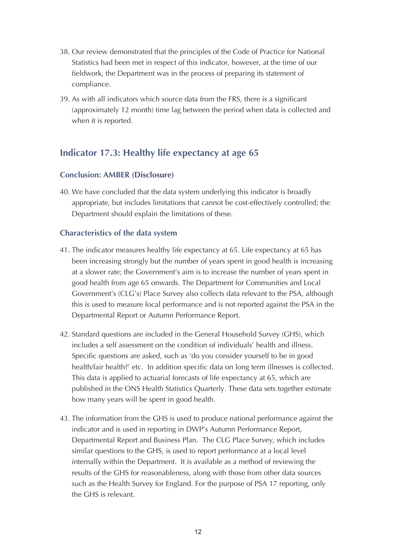- 38. Our review demonstrated that the principles of the Code of Practice for National Statistics had been met in respect of this indicator, however, at the time of our fieldwork, the Department was in the process of preparing its statement of compliance.
- 39. As with all indicators which source data from the FRS, there is a significant (approximately 12 month) time lag between the period when data is collected and when it is reported.

# **Indicator 17.3: Healthy life expectancy at age 65**

## **Conclusion: AMBER (Disclosure)**

40. We have concluded that the data system underlying this indicator is broadly appropriate, but includes limitations that cannot be cost-effectively controlled; the Department should explain the limitations of these.

## **Characteristics of the data system**

- 41. The indicator measures healthy life expectancy at 65. Life expectancy at 65 has been increasing strongly but the number of years spent in good health is increasing at a slower rate; the Government's aim is to increase the number of years spent in good health from age 65 onwards. The Department for Communities and Local Government's (CLG's) Place Survey also collects data relevant to the PSA, although this is used to measure local performance and is not reported against the PSA in the Departmental Report or Autumn Performance Report.
- 42. Standard questions are included in the General Household Survey (GHS), which includes a self assessment on the condition of individuals' health and illness. Specific questions are asked, such as 'do you consider yourself to be in good health/fair health?' etc. In addition specific data on long term illnesses is collected. This data is applied to actuarial forecasts of life expectancy at 65, which are published in the ONS Health Statistics Quarterly. These data sets together estimate how many years will be spent in good health.
- 43. The information from the GHS is used to produce national performance against the indicator and is used in reporting in DWP's Autumn Performance Report, Departmental Report and Business Plan. The CLG Place Survey, which includes similar questions to the GHS, is used to report performance at a local level internally within the Department. It is available as a method of reviewing the results of the GHS for reasonableness, along with those from other data sources such as the Health Survey for England. For the purpose of PSA 17 reporting, only the GHS is relevant.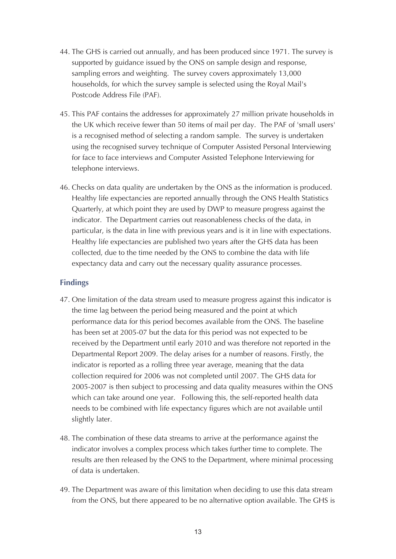- 44. The GHS is carried out annually, and has been produced since 1971. The survey is supported by guidance issued by the ONS on sample design and response, sampling errors and weighting. The survey covers approximately 13,000 households, for which the survey sample is selected using the Royal Mail's Postcode Address File (PAF).
- 45. This PAF contains the addresses for approximately 27 million private households in the UK which receive fewer than 50 items of mail per day. The PAF of 'small users' is a recognised method of selecting a random sample. The survey is undertaken using the recognised survey technique of Computer Assisted Personal Interviewing for face to face interviews and Computer Assisted Telephone Interviewing for telephone interviews.
- 46. Checks on data quality are undertaken by the ONS as the information is produced. Healthy life expectancies are reported annually through the ONS Health Statistics Quarterly, at which point they are used by DWP to measure progress against the indicator. The Department carries out reasonableness checks of the data, in particular, is the data in line with previous years and is it in line with expectations. Healthy life expectancies are published two years after the GHS data has been collected, due to the time needed by the ONS to combine the data with life expectancy data and carry out the necessary quality assurance processes.

- 47. One limitation of the data stream used to measure progress against this indicator is the time lag between the period being measured and the point at which performance data for this period becomes available from the ONS. The baseline has been set at 2005-07 but the data for this period was not expected to be received by the Department until early 2010 and was therefore not reported in the Departmental Report 2009. The delay arises for a number of reasons. Firstly, the indicator is reported as a rolling three year average, meaning that the data collection required for 2006 was not completed until 2007. The GHS data for 2005-2007 is then subject to processing and data quality measures within the ONS which can take around one year. Following this, the self-reported health data needs to be combined with life expectancy figures which are not available until slightly later.
- 48. The combination of these data streams to arrive at the performance against the indicator involves a complex process which takes further time to complete. The results are then released by the ONS to the Department, where minimal processing of data is undertaken.
- 49. The Department was aware of this limitation when deciding to use this data stream from the ONS, but there appeared to be no alternative option available. The GHS is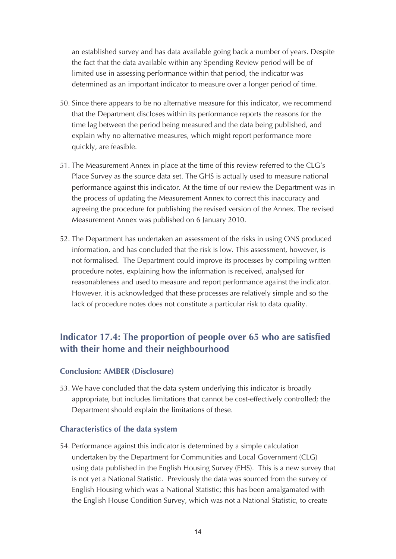an established survey and has data available going back a number of years. Despite the fact that the data available within any Spending Review period will be of limited use in assessing performance within that period, the indicator was determined as an important indicator to measure over a longer period of time.

- 50. Since there appears to be no alternative measure for this indicator, we recommend that the Department discloses within its performance reports the reasons for the time lag between the period being measured and the data being published, and explain why no alternative measures, which might report performance more quickly, are feasible.
- 51. The Measurement Annex in place at the time of this review referred to the CLG's Place Survey as the source data set. The GHS is actually used to measure national performance against this indicator. At the time of our review the Department was in the process of updating the Measurement Annex to correct this inaccuracy and agreeing the procedure for publishing the revised version of the Annex. The revised Measurement Annex was published on 6 January 2010.
- 52. The Department has undertaken an assessment of the risks in using ONS produced information, and has concluded that the risk is low. This assessment, however, is not formalised. The Department could improve its processes by compiling written procedure notes, explaining how the information is received, analysed for reasonableness and used to measure and report performance against the indicator. However. it is acknowledged that these processes are relatively simple and so the lack of procedure notes does not constitute a particular risk to data quality.

# **Indicator 17.4: The proportion of people over 65 who are satisfied with their home and their neighbourhood**

#### **Conclusion: AMBER (Disclosure)**

53. We have concluded that the data system underlying this indicator is broadly appropriate, but includes limitations that cannot be cost-effectively controlled; the Department should explain the limitations of these.

#### **Characteristics of the data system**

54. Performance against this indicator is determined by a simple calculation undertaken by the Department for Communities and Local Government (CLG) using data published in the English Housing Survey (EHS). This is a new survey that is not yet a National Statistic. Previously the data was sourced from the survey of English Housing which was a National Statistic; this has been amalgamated with the English House Condition Survey, which was not a National Statistic, to create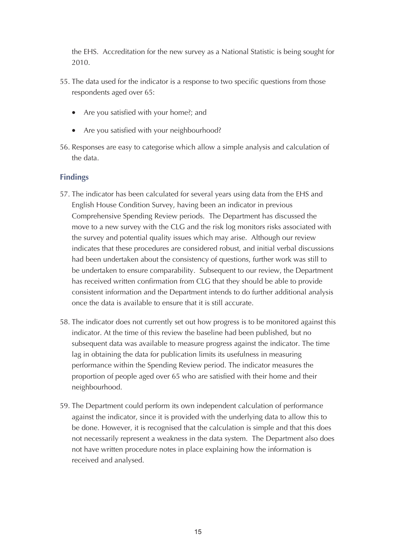the EHS. Accreditation for the new survey as a National Statistic is being sought for 2010.

- 55. The data used for the indicator is a response to two specific questions from those respondents aged over 65:
	- Are you satisfied with your home?; and
	- Are you satisfied with your neighbourhood?
- 56. Responses are easy to categorise which allow a simple analysis and calculation of the data.

- 57. The indicator has been calculated for several years using data from the EHS and English House Condition Survey, having been an indicator in previous Comprehensive Spending Review periods. The Department has discussed the move to a new survey with the CLG and the risk log monitors risks associated with the survey and potential quality issues which may arise. Although our review indicates that these procedures are considered robust, and initial verbal discussions had been undertaken about the consistency of questions, further work was still to be undertaken to ensure comparability. Subsequent to our review, the Department has received written confirmation from CLG that they should be able to provide consistent information and the Department intends to do further additional analysis once the data is available to ensure that it is still accurate.
- 58. The indicator does not currently set out how progress is to be monitored against this indicator. At the time of this review the baseline had been published, but no subsequent data was available to measure progress against the indicator. The time lag in obtaining the data for publication limits its usefulness in measuring performance within the Spending Review period. The indicator measures the proportion of people aged over 65 who are satisfied with their home and their neighbourhood.
- 59. The Department could perform its own independent calculation of performance against the indicator, since it is provided with the underlying data to allow this to be done. However, it is recognised that the calculation is simple and that this does not necessarily represent a weakness in the data system. The Department also does not have written procedure notes in place explaining how the information is received and analysed.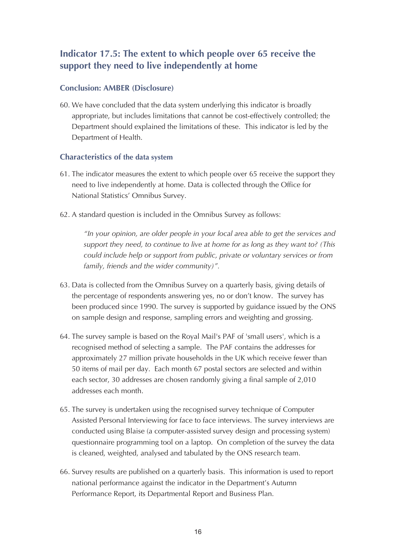# **Indicator 17.5: The extent to which people over 65 receive the support they need to live independently at home**

## **Conclusion: AMBER (Disclosure)**

60. We have concluded that the data system underlying this indicator is broadly appropriate, but includes limitations that cannot be cost-effectively controlled; the Department should explained the limitations of these. This indicator is led by the Department of Health.

#### **Characteristics of the data system**

- 61. The indicator measures the extent to which people over 65 receive the support they need to live independently at home. Data is collected through the Office for National Statistics' Omnibus Survey.
- 62. A standard question is included in the Omnibus Survey as follows:

*"In your opinion, are older people in your local area able to get the services and support they need, to continue to live at home for as long as they want to? (This could include help or support from public, private or voluntary services or from family, friends and the wider community)".*

- 63. Data is collected from the Omnibus Survey on a quarterly basis, giving details of the percentage of respondents answering yes, no or don't know. The survey has been produced since 1990. The survey is supported by guidance issued by the ONS on sample design and response, sampling errors and weighting and grossing.
- 64. The survey sample is based on the Royal Mail's PAF of 'small users', which is a recognised method of selecting a sample. The PAF contains the addresses for approximately 27 million private households in the UK which receive fewer than 50 items of mail per day. Each month 67 postal sectors are selected and within each sector, 30 addresses are chosen randomly giving a final sample of 2,010 addresses each month.
- 65. The survey is undertaken using the recognised survey technique of Computer Assisted Personal Interviewing for face to face interviews. The survey interviews are conducted using Blaise (a computer-assisted survey design and processing system) questionnaire programming tool on a laptop. On completion of the survey the data is cleaned, weighted, analysed and tabulated by the ONS research team.
- 66. Survey results are published on a quarterly basis. This information is used to report national performance against the indicator in the Department's Autumn Performance Report, its Departmental Report and Business Plan.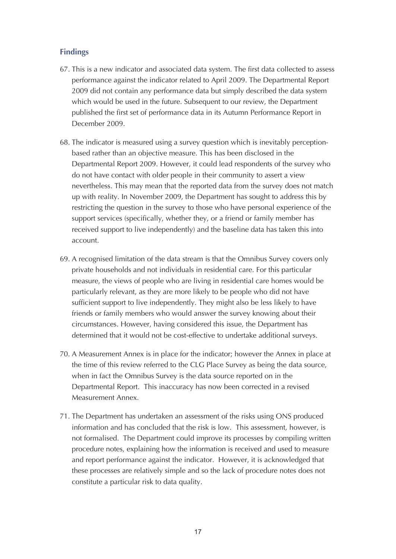- 67. This is a new indicator and associated data system. The first data collected to assess performance against the indicator related to April 2009. The Departmental Report 2009 did not contain any performance data but simply described the data system which would be used in the future. Subsequent to our review, the Department published the first set of performance data in its Autumn Performance Report in December 2009.
- 68. The indicator is measured using a survey question which is inevitably perceptionbased rather than an objective measure. This has been disclosed in the Departmental Report 2009. However, it could lead respondents of the survey who do not have contact with older people in their community to assert a view nevertheless. This may mean that the reported data from the survey does not match up with reality. In November 2009, the Department has sought to address this by restricting the question in the survey to those who have personal experience of the support services (specifically, whether they, or a friend or family member has received support to live independently) and the baseline data has taken this into account.
- 69. A recognised limitation of the data stream is that the Omnibus Survey covers only private households and not individuals in residential care. For this particular measure, the views of people who are living in residential care homes would be particularly relevant, as they are more likely to be people who did not have sufficient support to live independently. They might also be less likely to have friends or family members who would answer the survey knowing about their circumstances. However, having considered this issue, the Department has determined that it would not be cost-effective to undertake additional surveys.
- 70. A Measurement Annex is in place for the indicator; however the Annex in place at the time of this review referred to the CLG Place Survey as being the data source, when in fact the Omnibus Survey is the data source reported on in the Departmental Report. This inaccuracy has now been corrected in a revised Measurement Annex.
- 71. The Department has undertaken an assessment of the risks using ONS produced information and has concluded that the risk is low. This assessment, however, is not formalised. The Department could improve its processes by compiling written procedure notes, explaining how the information is received and used to measure and report performance against the indicator. However, it is acknowledged that these processes are relatively simple and so the lack of procedure notes does not constitute a particular risk to data quality.